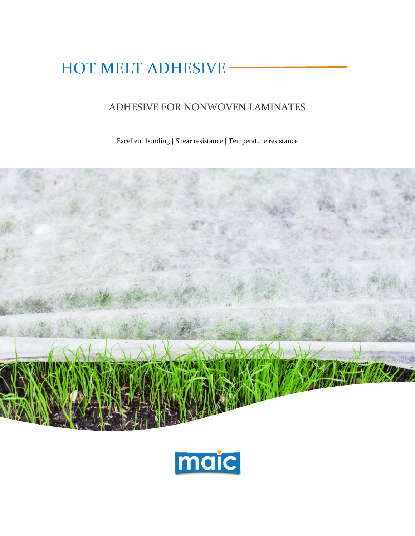# HOT MELT ADHESIVE

# ADHESIVE FOR NONWOVEN LAMINATES

Excellent bonding | Shear resistance | Temperature resistance